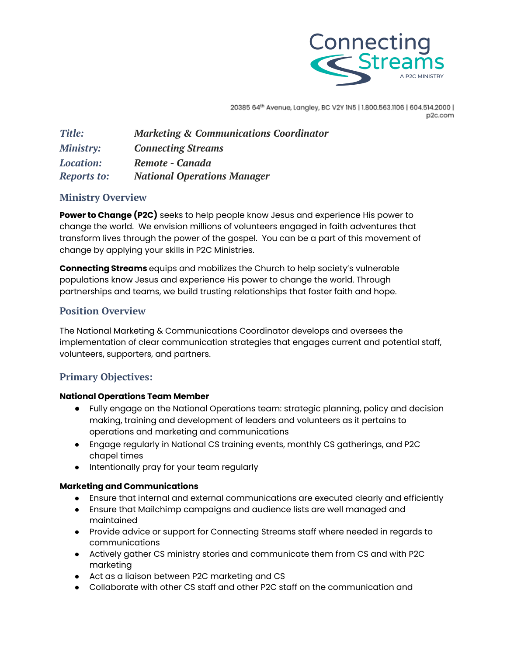

20385 64th Avenue, Langley, BC V2Y 1N5 | 1.800.563.1106 | 604.514.2000 | p2c.com

| <b>Title:</b>      | <b>Marketing &amp; Communications Coordinator</b> |
|--------------------|---------------------------------------------------|
| <b>Ministry:</b>   | <b>Connecting Streams</b>                         |
| <b>Location:</b>   | Remote - Canada                                   |
| <b>Reports to:</b> | <b>National Operations Manager</b>                |

## **Ministry Overview**

**Power to Change (P2C)** seeks to help people know Jesus and experience His power to change the world. We envision millions of volunteers engaged in faith adventures that transform lives through the power of the gospel. You can be a part of this movement of change by applying your skills in P2C Ministries.

**Connecting Streams** equips and mobilizes the Church to help society's vulnerable populations know Jesus and experience His power to change the world. Through partnerships and teams, we build trusting relationships that foster faith and hope.

## **Position Overview**

The National Marketing & Communications Coordinator develops and oversees the implementation of clear communication strategies that engages current and potential staff, volunteers, supporters, and partners.

# **Primary Objectives:**

#### **National Operations Team Member**

- Fully engage on the National Operations team: strategic planning, policy and decision making, training and development of leaders and volunteers as it pertains to operations and marketing and communications
- Engage regularly in National CS training events, monthly CS gatherings, and P2C chapel times
- Intentionally pray for your team regularly

## **Marketing and Communications**

- Ensure that internal and external communications are executed clearly and efficiently
- Ensure that Mailchimp campaigns and audience lists are well managed and maintained
- Provide advice or support for Connecting Streams staff where needed in regards to communications
- Actively gather CS ministry stories and communicate them from CS and with P2C marketing
- Act as a liaison between P2C marketing and CS
- Collaborate with other CS staff and other P2C staff on the communication and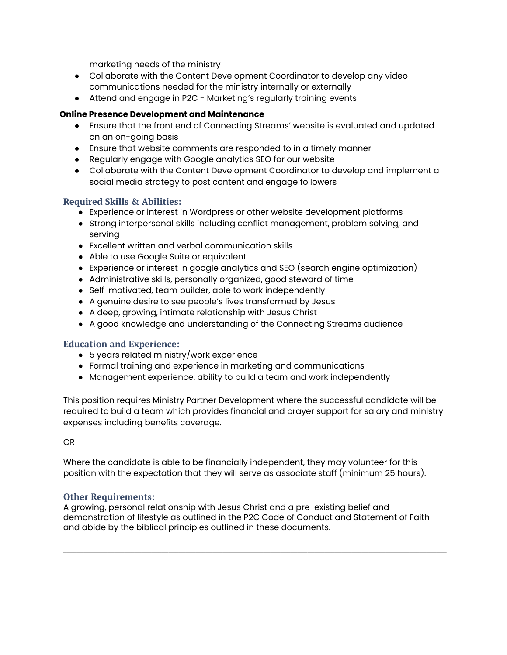marketing needs of the ministry

- Collaborate with the Content Development Coordinator to develop any video communications needed for the ministry internally or externally
- Attend and engage in P2C Marketing's regularly training events

#### **Online Presence Development and Maintenance**

- Ensure that the front end of Connecting Streams' website is evaluated and updated on an on-going basis
- Ensure that website comments are responded to in a timely manner
- Regularly engage with Google analytics SEO for our website
- Collaborate with the Content Development Coordinator to develop and implement a social media strategy to post content and engage followers

### **Required Skills & Abilities:**

- Experience or interest in Wordpress or other website development platforms
- Strong interpersonal skills including conflict management, problem solving, and serving
- Excellent written and verbal communication skills
- Able to use Google Suite or equivalent
- Experience or interest in google analytics and SEO (search engine optimization)
- Administrative skills, personally organized, good steward of time
- Self-motivated, team builder, able to work independently
- A genuine desire to see people's lives transformed by Jesus
- A deep, growing, intimate relationship with Jesus Christ
- A good knowledge and understanding of the Connecting Streams audience

#### **Education and Experience:**

- 5 years related ministry/work experience
- Formal training and experience in marketing and communications
- Management experience: ability to build a team and work independently

This position requires Ministry Partner Development where the successful candidate will be required to build a team which provides financial and prayer support for salary and ministry expenses including benefits coverage.

#### OR

Where the candidate is able to be financially independent, they may volunteer for this position with the expectation that they will serve as associate staff (minimum 25 hours).

#### **Other Requirements:**

A growing, personal relationship with Jesus Christ and a pre-existing belief and demonstration of lifestyle as outlined in the P2C Code of Conduct and Statement of Faith and abide by the biblical principles outlined in these documents.

 $\_$  ,  $\_$  ,  $\_$  ,  $\_$  ,  $\_$  ,  $\_$  ,  $\_$  ,  $\_$  ,  $\_$  ,  $\_$  ,  $\_$  ,  $\_$  ,  $\_$  ,  $\_$  ,  $\_$  ,  $\_$  ,  $\_$  ,  $\_$  ,  $\_$  ,  $\_$  ,  $\_$  ,  $\_$  ,  $\_$  ,  $\_$  ,  $\_$  ,  $\_$  ,  $\_$  ,  $\_$  ,  $\_$  ,  $\_$  ,  $\_$  ,  $\_$  ,  $\_$  ,  $\_$  ,  $\_$  ,  $\_$  ,  $\_$  ,